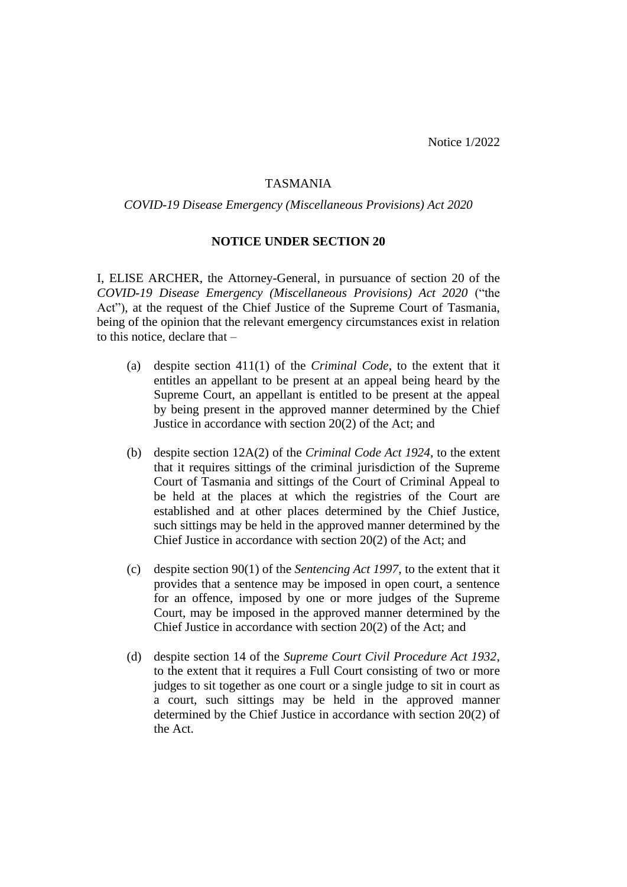Notice 1/2022

## TASMANIA

*COVID-19 Disease Emergency (Miscellaneous Provisions) Act 2020*

## **NOTICE UNDER SECTION 20**

I, ELISE ARCHER, the Attorney-General, in pursuance of section 20 of the *COVID-19 Disease Emergency (Miscellaneous Provisions) Act 2020* ("the Act"), at the request of the Chief Justice of the Supreme Court of Tasmania, being of the opinion that the relevant emergency circumstances exist in relation to this notice, declare that –

- (a) despite section 411(1) of the *Criminal Code*, to the extent that it entitles an appellant to be present at an appeal being heard by the Supreme Court, an appellant is entitled to be present at the appeal by being present in the approved manner determined by the Chief Justice in accordance with section 20(2) of the Act; and
- (b) despite section 12A(2) of the *Criminal Code Act 1924*, to the extent that it requires sittings of the criminal jurisdiction of the Supreme Court of Tasmania and sittings of the Court of Criminal Appeal to be held at the places at which the registries of the Court are established and at other places determined by the Chief Justice, such sittings may be held in the approved manner determined by the Chief Justice in accordance with section 20(2) of the Act; and
- (c) despite section 90(1) of the *Sentencing Act 1997*, to the extent that it provides that a sentence may be imposed in open court, a sentence for an offence, imposed by one or more judges of the Supreme Court, may be imposed in the approved manner determined by the Chief Justice in accordance with section 20(2) of the Act; and
- (d) despite section 14 of the *Supreme Court Civil Procedure Act 1932*, to the extent that it requires a Full Court consisting of two or more judges to sit together as one court or a single judge to sit in court as a court, such sittings may be held in the approved manner determined by the Chief Justice in accordance with section 20(2) of the Act.